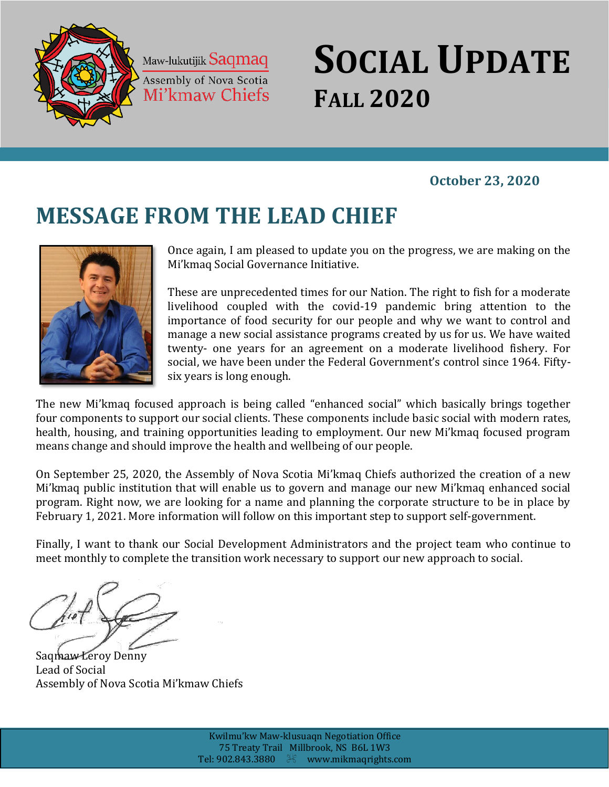

Maw-lukutijik Saqmaq Assembly of Nova Scotia Mi'kmaw Chiefs

## *Fall 2020* **SOCIAL UPDATE FALL 2020**

## **October 23, 2020**

# **MESSAGE FROM THE LEAD CHIEF**



Once again, I am pleased to update you on the progress, we are making on the Mi'kmaq Social Governance Initiative.

These are unprecedented times for our Nation. The right to fish for a moderate livelihood coupled with the covid-19 pandemic bring attention to the importance of food security for our people and why we want to control and manage a new social assistance programs created by us for us. We have waited twenty- one years for an agreement on a moderate livelihood fishery. For social, we have been under the Federal Government's control since 1964. Fiftysix years is long enough.

The new Mi'kmaq focused approach is being called "enhanced social" which basically brings together four components to support our social clients. These components include basic social with modern rates, health, housing, and training opportunities leading to employment. Our new Mi'kmaq focused program means change and should improve the health and wellbeing of our people.

On September 25, 2020, the Assembly of Nova Scotia Mi'kmaq Chiefs authorized the creation of a new Mi'kmaq public institution that will enable us to govern and manage our new Mi'kmaq enhanced social program. Right now, we are looking for a name and planning the corporate structure to be in place by February 1, 2021. More information will follow on this important step to support self-government.

Finally, I want to thank our Social Development Administrators and the project team who continue to meet monthly to complete the transition work necessary to support our new approach to social.

Saqmaw Leroy Denny Lead of Social Assembly of Nova Scotia Mi'kmaw Chiefs